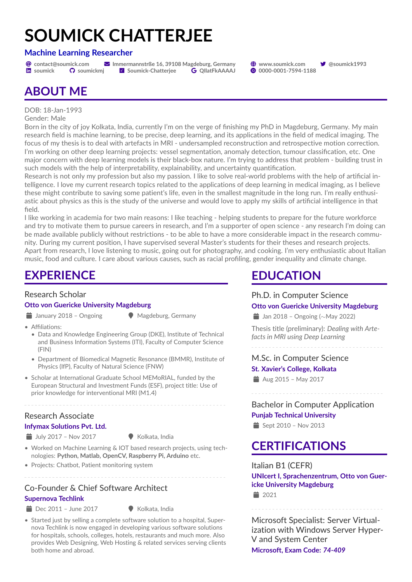# **SOUMICK CHATTERJEE**

#### **Machine Learning Researcher**

@ **[contact@soumick.com](mailto:contact@soumick.com)** ! **Immermannstrße 16, 39108 Magdeburg, Germany** ~ **[www.soumick.com](http://www.soumick.com) [@soumick1993](https://twitter.com/@soumick1993) hi** [soumick](https://linkedin.com/in/soumick) **C** [soumickmj](https://github.com/soumickmj) **x** [Soumick-Chatterjee](https://www.researchgate.net/profile/Soumick-Chatterjee) **G** QIIatFkAAAAJ **@** [0000-0001-7594-1188](https://orcid.org/0000-0001-7594-1188)

# **ABOUT ME**

DOB: 18-Jan-1993

Gender: Male

Born in the city of joy Kolkata, India, currently I'm on the verge of finishing my PhD in Magdeburg, Germany. My main research field is machine learning, to be precise, deep learning, and its applications in the field of medical imaging. The focus of my thesis is to deal with artefacts in MRI - undersampled reconstruction and retrospective motion correction. I'm working on other deep learning projects: vessel segmentation, anomaly detection, tumour classification, etc. One major concern with deep learning models is their black-box nature. I'm trying to address that problem - building trust in such models with the help of interpretability, explainability, and uncertainty quantification.

Research is not only my profession but also my passion. I like to solve real-world problems with the help of artificial intelligence. I love my current research topics related to the applications of deep learning in medical imaging, as I believe these might contribute to saving some patient's life, even in the smallest magnitude in the long run. I'm really enthusiastic about physics as this is the study of the universe and would love to apply my skills of artificial intelligence in that field.

I like working in academia for two main reasons: I like teaching - helping students to prepare for the future workforce and try to motivate them to pursue careers in research, and I'm a supporter of open science - any research I'm doing can be made available publicly without restrictions - to be able to have a more considerable impact in the research community. During my current position, I have supervised several Master's students for their theses and research projects. Apart from research, I love listening to music, going out for photography, and cooking. I'm very enthusiastic about Italian music, food and culture. I care about various causes, such as racial profiling, gender inequality and climate change.

# **EXPERIENCE**

#### Research Scholar

#### **Otto von Guericke University Magdeburg**

- $\implies$  January 2018 Ongoing  $\qquad \qquad \bullet$  Magdeburg, Germany
- 

- Affiliations:
	- [Data and Knowledge Engineering Group \(DKE\), Institute of Technical](https://www.findke.ovgu.de/findke/en/Staff/Soumick+Chatterjee.html) [and Business Information Systems \(ITI\), Faculty of Computer Science](https://www.findke.ovgu.de/findke/en/Staff/Soumick+Chatterjee.html) [\(FIN\)](https://www.findke.ovgu.de/findke/en/Staff/Soumick+Chatterjee.html)
	- [Department of Biomedical Magnetic Resonance \(BMMR\), Institute of](https://www.bmmr.ovgu.de/en/Team/Soumick+Chatterjee.html) [Physics \(IfP\), Faculty of Natural Science \(FNW\)](https://www.bmmr.ovgu.de/en/Team/Soumick+Chatterjee.html)
- [Scholar at International Graduate School MEMoRIAL, funded by the](http://www.memorial.ovgu.de/Module+1/M1_+Sub_Projects/M1_4-p-202.html) [European Structural and Investment Funds \(ESF\), project title: Use of](http://www.memorial.ovgu.de/Module+1/M1_+Sub_Projects/M1_4-p-202.html) [prior knowledge for interventional MRI \(M1.4\)](http://www.memorial.ovgu.de/Module+1/M1_+Sub_Projects/M1_4-p-202.html)

#### Research Associate

#### **Infymax Solutions Pvt. Ltd.**

 $\implies$  July 2017 – Nov 2017  $\therefore$  Kolkata, India

- Worked on Machine Learning & IOT based research projects, using technologies: **Python, Matlab, OpenCV, Raspberry Pi, Arduino** etc.
- Projects: Chatbot, Patient monitoring system

#### Co-Founder & Chief Software Architect **Supernova Techlink**

- $\bullet$  Dec 2011 June 2017  $\bullet$  Kolkata, India
- 
- Started just by selling a complete software solution to a hospital, Supernova Techlink is now engaged in developing various software solutions for hospitals, schools, colleges, hotels, restaurants and much more. Also provides Web Designing, Web Hosting & related services serving clients both home and abroad.

# **EDUCATION**

#### Ph.D. in Computer Science **Otto von Guericke University Magdeburg**

**in** Jan 2018 – Ongoing (∼May 2022)

Thesis title (preliminary): *Dealing with Artefacts in MRI using Deep Learning*

#### M.Sc. in Computer Science

#### **St. Xavier's College, Kolkata**

Aug 2015 – May 2017

Bachelor in Computer Application **Punjab Technical University**  $\Rightarrow$  Sept 2010 – Nov 2013

### **CERTIFICATIONS**

Italian B1 (CEFR) **UNIcert I, Sprachenzentrum, Otto von Guericke University Magdeburg**  $\equiv$  2021

Microsoft Specialist: Server Virtualization with Windows Server Hyper-V and System Center **Microsoft, Exam Code:** *74-409*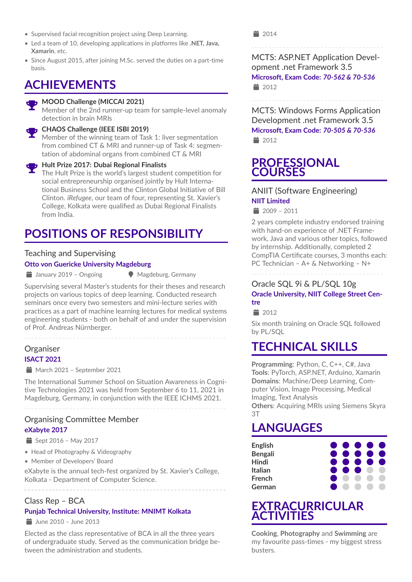- Supervised facial recognition project using Deep Learning.
- Led a team of 10, developing applications in platforms like **.NET, Java, Xamarin**, etc.
- Since August 2015, after joining M.Sc. served the duties on a part-time basis.

### **ACHIEVEMENTS**



#### **B**, MOOD Challenge (MICCAI 2021)

Member of the 2nd runner-up team for sample-level anomaly detection in brain MRIs

#### **CHAOS Challenge (IEEE ISBI 2019)**

Member of the winning team of Task 1: liver segmentation from combined CT & MRI and runner-up of Task 4: segmentation of abdominal organs from combined CT & MRI

### **Hult Prize 2017: Dubai Regional Finalists**

The Hult Prize is the world's largest student competition for social entrepreneurship organised jointly by Hult International Business School and the Clinton Global Initiative of Bill Clinton. *iRefugee*, our team of four, representing St. Xavier's College, Kolkata were qualified as Dubai Regional Finalists from India.

# **POSITIONS OF RESPONSIBILITY**

#### Teaching and Supervising **Otto von Guericke University Magdeburg**

 $\implies$  January 2019 – Ongoing  $\qquad \qquad \bullet$  Magdeburg, Germany

Supervising several Master's students for their theses and research projects on various topics of deep learning. Conducted research seminars once every two semesters and mini-lecture series with practices as a part of machine learning lectures for medical systems engineering students - both on behalf of and under the supervision of Prof. Andreas Nürnberger.

#### **Organiser ISACT 2021**

 $\equiv$  March 2021 – September 2021

The International Summer School on Situation Awareness in Cognitive Technologies 2021 was held from September 6 to 11, 2021 in Magdeburg, Germany, in conjunction with the IEEE ICHMS 2021.

#### Organising Committee Member **eXabyte 2017**

- $\triangleq$  Sept 2016 May 2017
- Head of Photography & Videography
- Member of Developers' Board

eXabyte is the annual tech-fest organized by St. Xavier's College, Kolkata - Department of Computer Science.

#### Class Rep – BCA

#### **Punjab Technical University, Institute: MNIMT Kolkata**

 $\frac{1}{2}$  June 2010 – June 2013

Elected as the class representative of BCA in all the three years of undergraduate study. Served as the communication bridge between the administration and students.

■ 2014

MCTS: ASP.NET Application Development .net Framework 3.5 **Microsoft, Exam Code:** *70-562 & 70-536*  $\equiv$  2012

MCTS: Windows Forms Application Development .net Framework 3.5 **Microsoft, Exam Code:** *70-505 & 70-536*  $\equiv$  2012

### **PROFESSIONAL COURSES**

#### ANIIT (Software Engineering) **NIIT Limited**

 $\angle$  2009 - 2011

2 years complete industry endorsed training with hand-on experience of .NET Framework, Java and various other topics, followed by internship. Additionally, completed 2 CompTIA Certificate courses, 3 months each: PC Technician – A+ & Networking – N+

#### Oracle SQL 9i & PL/SQL 10g **Oracle University, NIIT College Street Centre**

 $\equiv$  2012

Six month training on Oracle SQL followed by PL/SQL

# **TECHNICAL SKILLS**

**Programming**: Python, C, C++, C#, Java **Tools**: PyTorch, ASP.NET, Arduino, Xamarin **Domains**: Machine/Deep Learning, Computer Vision, Image Processing, Medical Imaging, Text Analysis **Others**: Acquiring MRIs using Siemens Skyra

3T

# **LANGUAGES**

| English        | $\bullet\bullet\bullet\bullet\bullet$ |  |  |
|----------------|---------------------------------------|--|--|
| <b>Bengali</b> | $\bullet\bullet\bullet\bullet\bullet$ |  |  |
| <b>Hindi</b>   | $\bullet\bullet\bullet\bullet\bullet$ |  |  |
| <b>Italian</b> | $\bullet\bullet\bullet\bullet\bullet$ |  |  |
| <b>French</b>  |                                       |  |  |
| German         |                                       |  |  |

### **EXTRACURRICULAR ACTIVITIES**

**Cooking**, **Photography** and **Swimming** are my favourite pass-times - my biggest stress busters.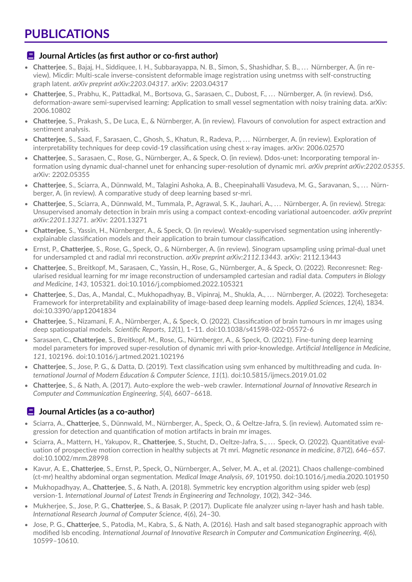# **PUBLICATIONS**

#### **E** Journal Articles (as first author or co-first author)

- **Chatterjee**, S., Bajaj, H., Siddiquee, I. H., Subbarayappa, N. B., Simon, S., Shashidhar, S. B., . . . Nürnberger, A. (in review). Micdir: Multi-scale inverse-consistent deformable image registration using unetmss with self-constructing graph latent. *arXiv preprint arXiv:2203.04317*. arXiv: [2203.04317](https://arxiv.org/abs/2203.04317)
- **Chatterjee**, S., Prabhu, K., Pattadkal, M., Bortsova, G., Sarasaen, C., Dubost, F., . . . Nürnberger, A. (in review). Ds6, deformation-aware semi-supervised learning: Application to small vessel segmentation with noisy training data. arXiv: [2006.10802](https://arxiv.org/abs/2006.10802)
- **Chatterjee**, S., Prakash, S., De Luca, E., & Nürnberger, A. (in review). Flavours of convolution for aspect extraction and sentiment analysis.
- **Chatterjee**, S., Saad, F., Sarasaen, C., Ghosh, S., Khatun, R., Radeva, P., . . . Nürnberger, A. (in review). Exploration of interpretability techniques for deep covid-19 classification using chest x-ray images. arXiv: [2006.02570](https://arxiv.org/abs/2006.02570)
- **Chatterjee**, S., Sarasaen, C., Rose, G., Nürnberger, A., & Speck, O. (in review). Ddos-unet: Incorporating temporal information using dynamic dual-channel unet for enhancing super-resolution of dynamic mri. *arXiv preprint arXiv:2202.05355*. arXiv: [2202.05355](https://arxiv.org/abs/2202.05355)
- **Chatterjee**, S., Sciarra, A., Dünnwald, M., Talagini Ashoka, A. B., Cheepinahalli Vasudeva, M. G., Saravanan, S., . . . Nürnberger, A. (in review). A comparative study of deep learning based sr-mri.
- **Chatterjee**, S., Sciarra, A., Dünnwald, M., Tummala, P., Agrawal, S. K., Jauhari, A., . . . Nürnberger, A. (in review). Strega: Unsupervised anomaly detection in brain mris using a compact context-encoding variational autoencoder. *arXiv preprint arXiv:2201.13271*. arXiv: [2201.13271](https://arxiv.org/abs/2201.13271)
- **Chatterjee**, S., Yassin, H., Nürnberger, A., & Speck, O. (in review). Weakly-supervised segmentation using inherentlyexplainable classification models and their application to brain tumour classification.
- Ernst, P., **Chatterjee**, S., Rose, G., Speck, O., & Nürnberger, A. (in review). Sinogram upsampling using primal-dual unet for undersampled ct and radial mri reconstruction. *arXiv preprint arXiv:2112.13443*. arXiv: [2112.13443](https://arxiv.org/abs/2112.13443)
- **Chatterjee**, S., Breitkopf, M., Sarasaen, C., Yassin, H., Rose, G., Nürnberger, A., & Speck, O. (2022). Reconresnet: Regularised residual learning for mr image reconstruction of undersampled cartesian and radial data. *Computers in Biology and Medicine*, *143*, 105321. doi[:10.1016/j.compbiomed.2022.105321](https://doi.org/10.1016/j.compbiomed.2022.105321)
- **Chatterjee**, S., Das, A., Mandal, C., Mukhopadhyay, B., Vipinraj, M., Shukla, A., . . . Nürnberger, A. (2022). Torchesegeta: Framework for interpretability and explainability of image-based deep learning models. *Applied Sciences*, *12*(4), 1834. doi[:10.3390/app12041834](https://doi.org/10.3390/app12041834)
- **Chatterjee**, S., Nizamani, F. A., Nürnberger, A., & Speck, O. (2022). Classification of brain tumours in mr images using deep spatiospatial models. *Scientific Reports*, *12*(1), 1–11. doi[:10.1038/s41598-022-05572-6](https://doi.org/10.1038/s41598-022-05572-6)
- Sarasaen, C., **Chatterjee**, S., Breitkopf, M., Rose, G., Nürnberger, A., & Speck, O. (2021). Fine-tuning deep learning model parameters for improved super-resolution of dynamic mri with prior-knowledge. *Artificial Intelligence in Medicine*, *121*, 102196. doi[:10.1016/j.artmed.2021.102196](https://doi.org/10.1016/j.artmed.2021.102196)
- **Chatterjee**, S., Jose, P. G., & Datta, D. (2019). Text classification using svm enhanced by multithreading and cuda. *International Journal of Modern Education & Computer Science*, *11*(1). doi[:10.5815/ijmecs.2019.01.02](https://doi.org/10.5815/ijmecs.2019.01.02)
- **Chatterjee**, S., & Nath, A. (2017). Auto-explore the web–web crawler. *International Journal of Innovative Research in Computer and Communication Engineering*, *5*(4), 6607–6618.

#### **E** Journal Articles (as a co-author)

- Sciarra, A., **Chatterjee**, S., Dünnwald, M., Nürnberger, A., Speck, O., & Oeltze-Jafra, S. (in review). Automated ssim regression for detection and quantification of motion artifacts in brain mr images.
- Sciarra, A., Mattern, H., Yakupov, R., **Chatterjee**, S., Stucht, D., Oeltze-Jafra, S., . . . Speck, O. (2022). Quantitative evaluation of prospective motion correction in healthy subjects at 7t mri. *Magnetic resonance in medicine*, *87*(2), 646–657. doi[:10.1002/mrm.28998](https://doi.org/10.1002/mrm.28998)
- Kavur, A. E., **Chatterjee**, S., Ernst, P., Speck, O., Nürnberger, A., Selver, M. A., et al. (2021). Chaos challenge-combined (ct-mr) healthy abdominal organ segmentation. *Medical Image Analysis*, *69*, 101950. doi[:10.1016/j.media.2020.101950](https://doi.org/10.1016/j.media.2020.101950)
- Mukhopadhyay, A., **Chatterjee**, S., & Nath, A. (2018). Symmetric key encryption algorithm using spider web (esp) version-1. *International Journal of Latest Trends in Engineering and Technology*, *10*(2), 342–346.
- Mukherjee, S., Jose, P. G., **Chatterjee**, S., & Basak, P. (2017). Duplicate file analyzer using n-layer hash and hash table. *International Research Journal of Computer Science*, *4*(6), 24–30.
- Jose, P. G., **Chatterjee**, S., Patodia, M., Kabra, S., & Nath, A. (2016). Hash and salt based steganographic approach with modified lsb encoding. *International Journal of Innovative Research in Computer and Communication Engineering*, *4*(6), 10599–10610.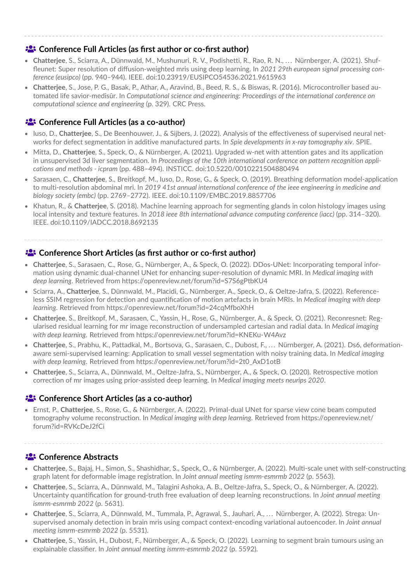#### **Conference Full Articles (as first author or co-first author)**

- **Chatterjee**, S., Sciarra, A., Dünnwald, M., Mushunuri, R. V., Podishetti, R., Rao, R. N., . . . Nürnberger, A. (2021). Shuffleunet: Super resolution of diffusion-weighted mris using deep learning. In *2021 29th european signal processing conference (eusipco)* (pp. 940–944). IEEE. doi[:10.23919/EUSIPCO54536.2021.9615963](https://doi.org/10.23919/EUSIPCO54536.2021.9615963)
- **Chatterjee**, S., Jose, P. G., Basak, P., Athar, A., Aravind, B., Beed, R. S., & Biswas, R. (2016). Microcontroller based automated life savior-medisûr. In *Computational science and engineering: Proceedings of the international conference on computational science and engineering* (p. 329). CRC Press.

#### **<sup>2</sup>** Conference Full Articles (as a co-author)

- Iuso, D., **Chatterjee**, S., De Beenhouwer, J., & Sijbers, J. (2022). Analysis of the effectiveness of supervised neural networks for defect segmentation in additive manufactured parts. In *Spie developments in x-ray tomography xiv*. SPIE.
- Mitta, D., **Chatterjee**, S., Speck, O., & Nürnberger, A. (2021). Upgraded w-net with attention gates and its application in unsupervised 3d liver segmentation. In *Proceedings of the 10th international conference on pattern recognition applications and methods - icpram* (pp. 488–494). INSTICC. doi[:10.5220/0010221504880494](https://doi.org/10.5220/0010221504880494)
- Sarasaen, C., **Chatterjee**, S., Breitkopf, M., Iuso, D., Rose, G., & Speck, O. (2019). Breathing deformation model-application to multi-resolution abdominal mri. In *2019 41st annual international conference of the ieee engineering in medicine and biology society (embc)* (pp. 2769–2772). IEEE. doi[:10.1109/EMBC.2019.8857706](https://doi.org/10.1109/EMBC.2019.8857706)
- Khatun, R., & **Chatterjee**, S. (2018). Machine learning approach for segmenting glands in colon histology images using local intensity and texture features. In *2018 ieee 8th international advance computing conference (iacc)* (pp. 314–320). IEEE. doi[:10.1109/IADCC.2018.8692135](https://doi.org/10.1109/IADCC.2018.8692135)

#### <sup>2</sup> Conference Short Articles (as first author or co-first author)

- **Chatterjee**, S., Sarasaen, C., Rose, G., Nürnberger, A., & Speck, O. (2022). DDos-UNet: Incorporating temporal information using dynamic dual-channel UNet for enhancing super-resolution of dynamic MRI. In *Medical imaging with deep learning*. Retrieved from<https://openreview.net/forum?id=S7S6gPtbKU4>
- Sciarra, A., **Chatterjee**, S., Dünnwald, M., Placidi, G., Nürnberger, A., Speck, O., & Oeltze-Jafra, S. (2022). Referenceless SSIM regression for detection and quantification of motion artefacts in brain MRIs. In *Medical imaging with deep learning*. Retrieved from<https://openreview.net/forum?id=24cqMfboXhH>
- **Chatterjee**, S., Breitkopf, M., Sarasaen, C., Yassin, H., Rose, G., Nürnberger, A., & Speck, O. (2021). Reconresnet: Regularised residual learning for mr image reconstruction of undersampled cartesian and radial data. In *Medical imaging with deep learning*. Retrieved from<https://openreview.net/forum?id=KNEKu-W4Avz>
- **Chatterjee**, S., Prabhu, K., Pattadkal, M., Bortsova, G., Sarasaen, C., Dubost, F., . . . Nürnberger, A. (2021). Ds6, deformationaware semi-supervised learning: Application to small vessel segmentation with noisy training data. In *Medical imaging with deep learning*. Retrieved from [https://openreview.net/forum?id=2t0\\_AxD1otB](https://openreview.net/forum?id=2t0_AxD1otB)
- **Chatterjee**, S., Sciarra, A., Dünnwald, M., Oeltze-Jafra, S., Nürnberger, A., & Speck, O. (2020). Retrospective motion correction of mr images using prior-assisted deep learning. In *Medical imaging meets neurips 2020*.

#### **Conference Short Articles (as a co-author)**

• Ernst, P., **Chatterjee**, S., Rose, G., & Nürnberger, A. (2022). Primal-dual UNet for sparse view cone beam computed tomography volume reconstruction. In *Medical imaging with deep learning*. Retrieved from [https://openreview.net/](https://openreview.net/forum?id=RVKcDeJ2fCi) [forum?id=RVKcDeJ2fCi](https://openreview.net/forum?id=RVKcDeJ2fCi)

#### **E:** Conference Abstracts

- **Chatterjee**, S., Bajaj, H., Simon, S., Shashidhar, S., Speck, O., & Nürnberger, A. (2022). Multi-scale unet with self-constructing graph latent for deformable image registration. In *Joint annual meeting ismrm-esmrmb 2022* (p. 5563).
- **Chatterjee**, S., Sciarra, A., Dünnwald, M., Talagini Ashoka, A. B., Oeltze-Jafra, S., Speck, O., & Nürnberger, A. (2022). Uncertainty quantification for ground-truth free evaluation of deep learning reconstructions. In *Joint annual meeting ismrm-esmrmb 2022* (p. 5631).
- **Chatterjee**, S., Sciarra, A., Dünnwald, M., Tummala, P., Agrawal, S., Jauhari, A., . . . Nürnberger, A. (2022). Strega: Unsupervised anomaly detection in brain mris using compact context-encoding variational autoencoder. In *Joint annual meeting ismrm-esmrmb 2022* (p. 5531).
- **Chatterjee**, S., Yassin, H., Dubost, F., Nürnberger, A., & Speck, O. (2022). Learning to segment brain tumours using an explainable classifier. In *Joint annual meeting ismrm-esmrmb 2022* (p. 5592).